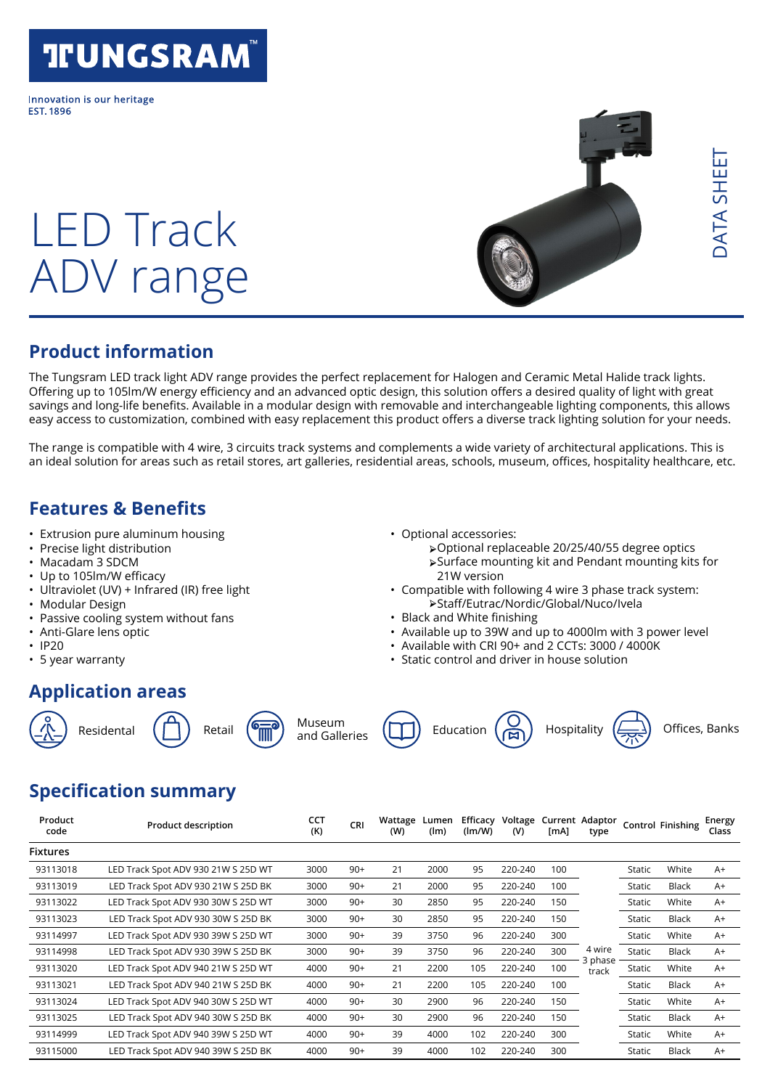## **TFUNGSRAM**

Innovation is our heritage **FST 1896** 

# LED Track ADV range



## **Product information**

The Tungsram LED track light ADV range provides the perfect replacement for Halogen and Ceramic Metal Halide track lights. Offering up to 105lm/W energy efficiency and an advanced optic design, this solution offers a desired quality of light with great savings and long-life benefits. Available in a modular design with removable and interchangeable lighting components, this allows easy access to customization, combined with easy replacement this product offers a diverse track lighting solution for your needs.

The range is compatible with 4 wire, 3 circuits track systems and complements a wide variety of architectural applications. This is an ideal solution for areas such as retail stores, art galleries, residential areas, schools, museum, offices, hospitality healthcare, etc.

### **Features & Benefits**

- Extrusion pure aluminum housing
- Precise light distribution
- Macadam 3 SDCM
- Up to 105lm/W efficacy
- Ultraviolet (UV) + Infrared (IR) free light
- Modular Design
- Passive cooling system without fans
- Anti-Glare lens optic
- IP20
- 5 year warranty

## **Application areas**











• Optional accessories:

21W version

• Black and White finishing



➢ Optional replaceable 20/25/40/55 degree optics ➢ Surface mounting kit and Pendant mounting kits for

➢ Staff/Eutrac/Nordic/Global/Nuco/Ivela

• Available with CRI 90+ and 2 CCTs: 3000 / 4000K • Static control and driver in house solution

• Compatible with following 4 wire 3 phase track system:

• Available up to 39W and up to 4000lm with 3 power level

## **Specification summary**

| Product<br>code | <b>Product description</b>          | CCT<br>(K) | <b>CRI</b> | Wattage<br>(W) | Lumen<br>(lm) | Efficacy<br>(lm/W) | Voltage<br>(V) | [mA] | Current Adaptor<br>type |        | <b>Control Finishing</b> | Energy<br>Class |
|-----------------|-------------------------------------|------------|------------|----------------|---------------|--------------------|----------------|------|-------------------------|--------|--------------------------|-----------------|
| <b>Fixtures</b> |                                     |            |            |                |               |                    |                |      |                         |        |                          |                 |
| 93113018        | LED Track Spot ADV 930 21W S 25D WT | 3000       | $90+$      | 21             | 2000          | 95                 | 220-240        | 100  |                         | Static | White                    | $A+$            |
| 93113019        | LED Track Spot ADV 930 21W S 25D BK | 3000       | $90+$      | 21             | 2000          | 95                 | 220-240        | 100  |                         | Static | <b>Black</b>             | $A+$            |
| 93113022        | LED Track Spot ADV 930 30W S 25D WT | 3000       | $90+$      | 30             | 2850          | 95                 | 220-240        | 150  |                         | Static | White                    | $A+$            |
| 93113023        | LED Track Spot ADV 930 30W S 25D BK | 3000       | $90+$      | 30             | 2850          | 95                 | 220-240        | 150  |                         | Static | Black                    | $A+$            |
| 93114997        | LED Track Spot ADV 930 39W S 25D WT | 3000       | $90+$      | 39             | 3750          | 96                 | 220-240        | 300  |                         | Static | White                    | $A+$            |
| 93114998        | LED Track Spot ADV 930 39W S 25D BK | 3000       | $90+$      | 39             | 3750          | 96                 | 220-240        | 300  | 4 wire<br>3 phase       | Static | Black                    | $A+$            |
| 93113020        | LED Track Spot ADV 940 21W S 25D WT | 4000       | $90+$      | 21             | 2200          | 105                | 220-240        | 100  | track                   | Static | White                    | $A+$            |
| 93113021        | LED Track Spot ADV 940 21W S 25D BK | 4000       | $90+$      | 21             | 2200          | 105                | 220-240        | 100  |                         | Static | Black                    | $A+$            |
| 93113024        | LED Track Spot ADV 940 30W S 25D WT | 4000       | $90+$      | 30             | 2900          | 96                 | 220-240        | 150  |                         | Static | White                    | $A+$            |
| 93113025        | LED Track Spot ADV 940 30W S 25D BK | 4000       | $90+$      | 30             | 2900          | 96                 | 220-240        | 150  |                         | Static | Black                    | $A+$            |
| 93114999        | LED Track Spot ADV 940 39W S 25D WT | 4000       | $90+$      | 39             | 4000          | 102                | 220-240        | 300  |                         | Static | White                    | $A+$            |
| 93115000        | LED Track Spot ADV 940 39W S 25D BK | 4000       | $90+$      | 39             | 4000          | 102                | 220-240        | 300  |                         | Static | Black                    | $A+$            |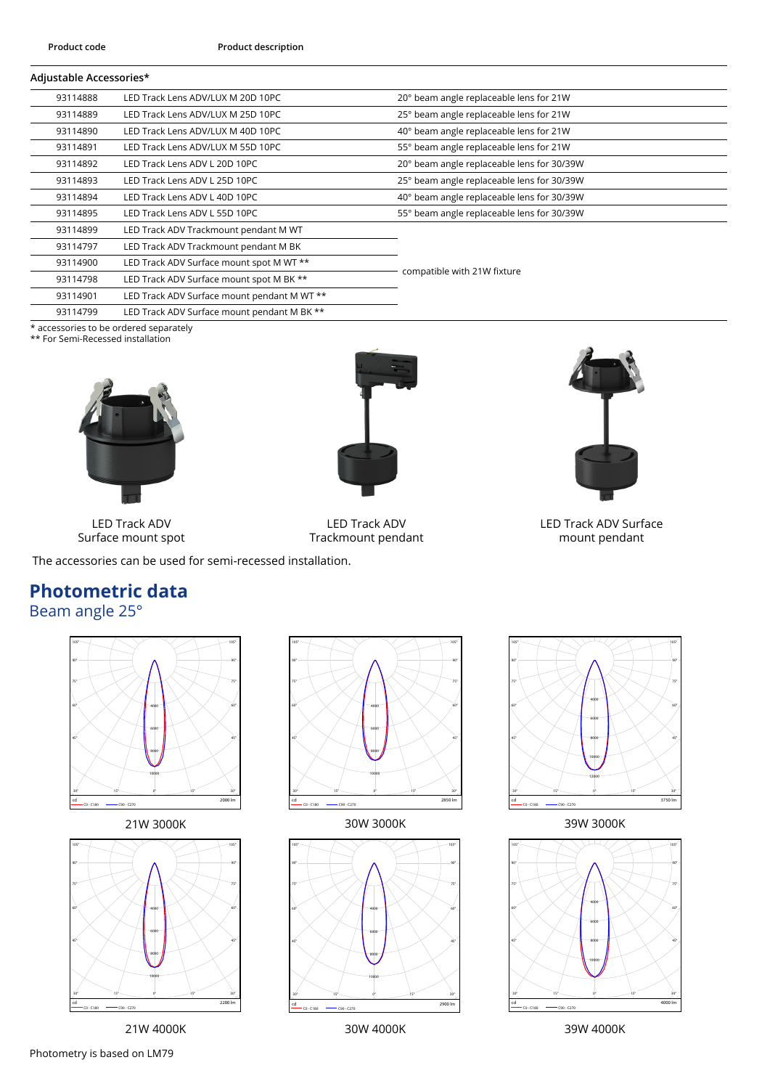#### **Adjustable Accessories\***

| 93114888 | LED Track Lens ADV/LUX M 20D 10PC           | 20° beam angle replaceable lens for 21W    |  |  |
|----------|---------------------------------------------|--------------------------------------------|--|--|
| 93114889 | LED Track Lens ADV/LUX M 25D 10PC           | 25° beam angle replaceable lens for 21W    |  |  |
| 93114890 | LED Track Lens ADV/LUX M 40D 10PC           | 40° beam angle replaceable lens for 21W    |  |  |
| 93114891 | LED Track Lens ADV/LUX M 55D 10PC           | 55° beam angle replaceable lens for 21W    |  |  |
| 93114892 | LED Track Lens ADV L 20D 10PC               | 20° beam angle replaceable lens for 30/39W |  |  |
| 93114893 | LED Track Lens ADV L 25D 10PC               | 25° beam angle replaceable lens for 30/39W |  |  |
| 93114894 | LED Track Lens ADV L 40D 10PC               | 40° beam angle replaceable lens for 30/39W |  |  |
| 93114895 | LED Track Lens ADV L 55D 10PC               | 55° beam angle replaceable lens for 30/39W |  |  |
| 93114899 | LED Track ADV Trackmount pendant M WT       |                                            |  |  |
| 93114797 | LED Track ADV Trackmount pendant M BK       |                                            |  |  |
| 93114900 | LED Track ADV Surface mount spot M WT **    | compatible with 21W fixture                |  |  |
| 93114798 | LED Track ADV Surface mount spot M BK **    |                                            |  |  |
| 93114901 | LED Track ADV Surface mount pendant M WT ** |                                            |  |  |
| 93114799 | LED Track ADV Surface mount pendant M BK ** |                                            |  |  |

\* accessories to be ordered separately

\*\* For Semi-Recessed installation





LED Track ADV Trackmount pendant



LED Track ADV Surface mount pendant

LED Track ADV Surface mount spot

The accessories can be used for semi-recessed installation.

## **Photometric data**

## Beam angle 25°











21W 4000K 30W 4000K 39W 4000K